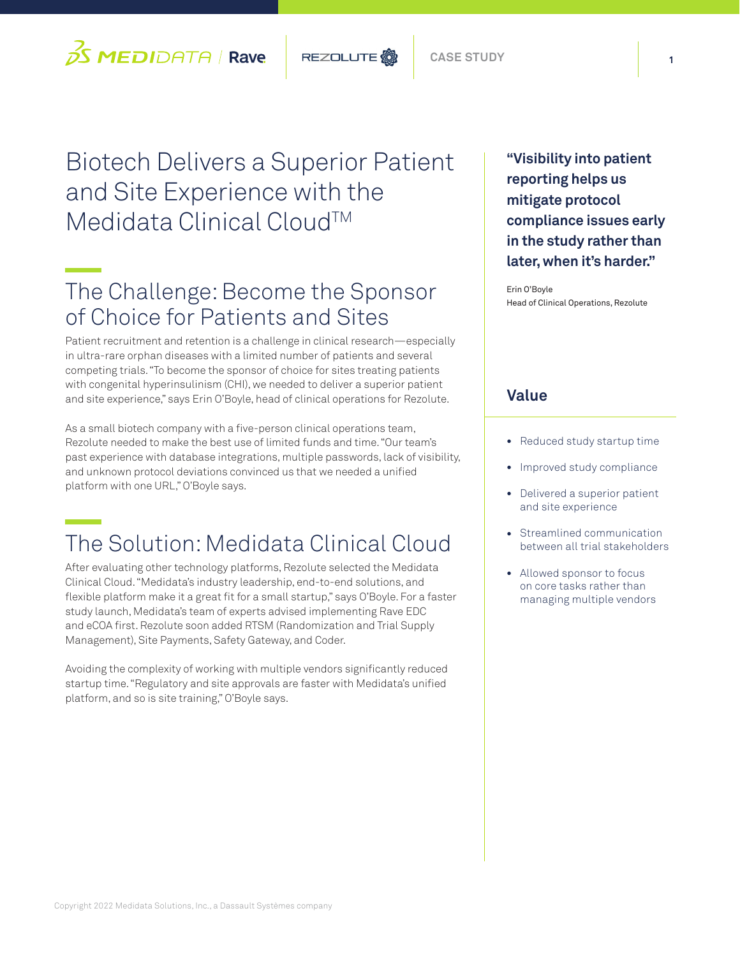

# Biotech Delivers a Superior Patient and Site Experience with the Medidata Clinical Cloud™

## The Challenge: Become the Sponsor of Choice for Patients and Sites

Patient recruitment and retention is a challenge in clinical research—especially in ultra-rare orphan diseases with a limited number of patients and several competing trials. "To become the sponsor of choice for sites treating patients with congenital hyperinsulinism (CHI), we needed to deliver a superior patient and site experience," says Erin O'Boyle, head of clinical operations for Rezolute.

As a small biotech company with a five-person clinical operations team, Rezolute needed to make the best use of limited funds and time. "Our team's past experience with database integrations, multiple passwords, lack of visibility, and unknown protocol deviations convinced us that we needed a unified platform with one URL," O'Boyle says.

# The Solution: Medidata Clinical Cloud

After evaluating other technology platforms, Rezolute selected the Medidata Clinical Cloud. "Medidata's industry leadership, end-to-end solutions, and flexible platform make it a great fit for a small startup," says O'Boyle. For a faster study launch, Medidata's team of experts advised implementing Rave EDC and eCOA first. Rezolute soon added RTSM (Randomization and Trial Supply Management), Site Payments, Safety Gateway, and Coder.

Avoiding the complexity of working with multiple vendors significantly reduced startup time. "Regulatory and site approvals are faster with Medidata's unified platform, and so is site training," O'Boyle says.

**"Visibility into patient reporting helps us mitigate protocol compliance issues early in the study rather than later, when it's harder."** 

Erin O'Boyle Head of Clinical Operations, Rezolute

### **Value**

- Reduced study startup time
- Improved study compliance
- Delivered a superior patient and site experience
- Streamlined communication between all trial stakeholders
- Allowed sponsor to focus on core tasks rather than managing multiple vendors